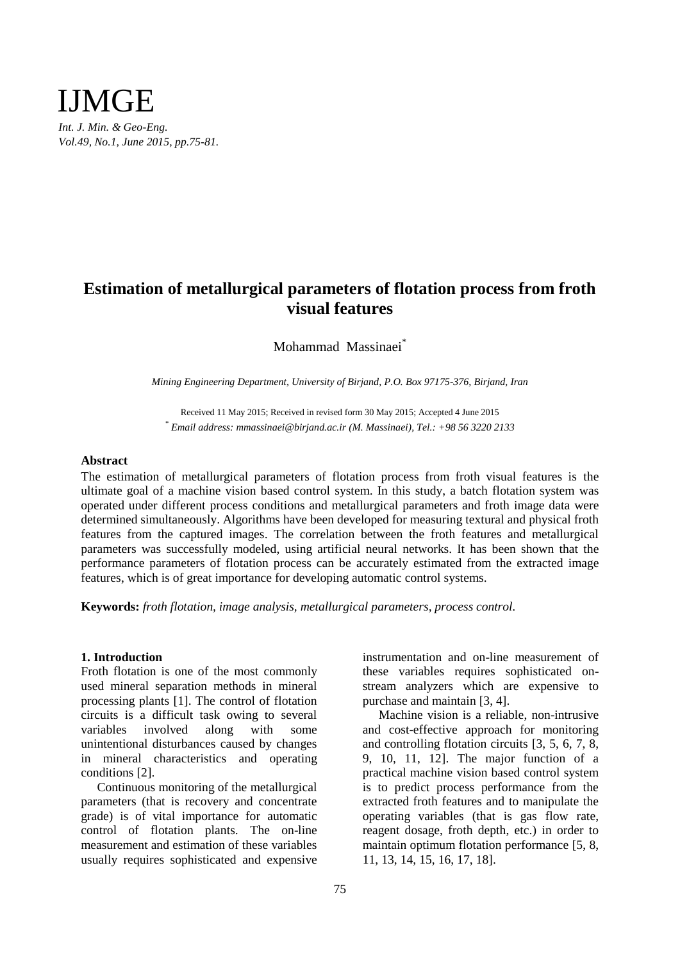

# **Estimation of metallurgical parameters of flotation process from froth visual features**

Mohammad Massinaei\*

*Mining Engineering Department, University of Birjand, P.O. Box 97175-376, Birjand, Iran*

Received 11 May 2015; Received in revised form 30 May 2015; Accepted 4 June 2015 *\* Email address: mmassinaei@birjand.ac.ir (M. Massinaei), Tel.: +98 56 3220 2133*

## **Abstract**

The estimation of metallurgical parameters of flotation process from froth visual features is the ultimate goal of a machine vision based control system. In this study, a batch flotation system was operated under different process conditions and metallurgical parameters and froth image data were determined simultaneously. Algorithms have been developed for measuring textural and physical froth features from the captured images. The correlation between the froth features and metallurgical parameters was successfully modeled, using artificial neural networks. It has been shown that the performance parameters of flotation process can be accurately estimated from the extracted image features, which is of great importance for developing automatic control systems.

**Keywords:** *froth flotation, image analysis, metallurgical parameters, process control.*

# **1. Introduction**

Froth flotation is one of the most commonly used mineral separation methods in mineral processing plants [1]. The control of flotation circuits is a difficult task owing to several variables involved along with some unintentional disturbances caused by changes in mineral characteristics and operating conditions [2].

Continuous monitoring of the metallurgical parameters (that is recovery and concentrate grade) is of vital importance for automatic control of flotation plants. The on-line measurement and estimation of these variables usually requires sophisticated and expensive instrumentation and on-line measurement of these variables requires sophisticated onstream analyzers which are expensive to purchase and maintain [3, 4].

Machine vision is a reliable, non-intrusive and cost-effective approach for monitoring and controlling flotation circuits [3, 5, 6, 7, 8, 9, 10, 11, 12]. The major function of a practical machine vision based control system is to predict process performance from the extracted froth features and to manipulate the operating variables (that is gas flow rate, reagent dosage, froth depth, etc.) in order to maintain optimum flotation performance [5, 8, 11, 13, 14, 15, 16, 17, 18].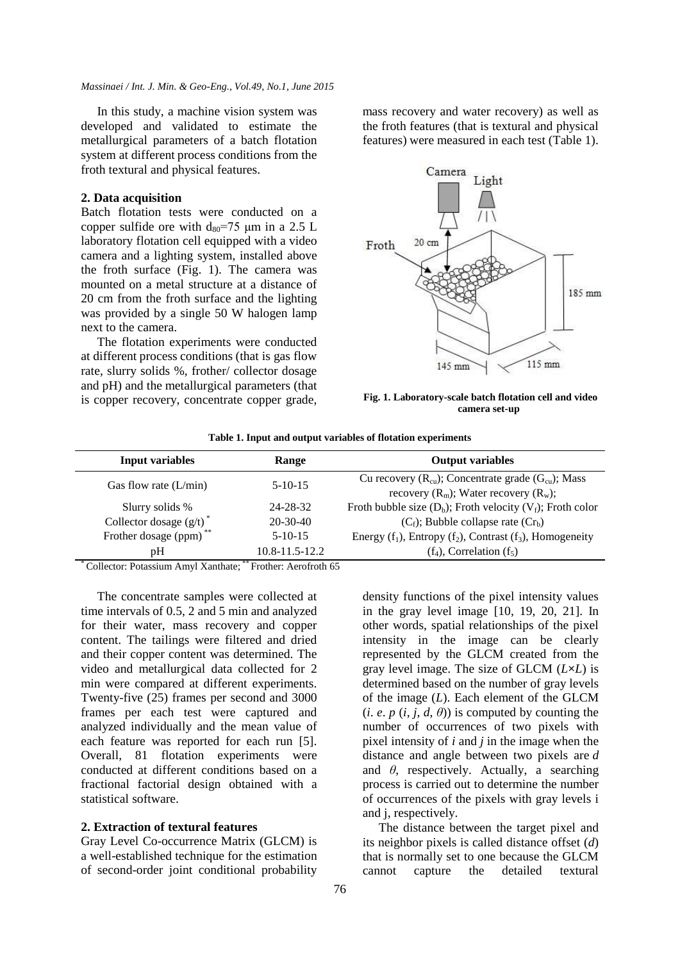### *Massinaei / Int. J. Min. & Geo-Eng., Vol.49, No.1, June 2015*

In this study, a machine vision system was developed and validated to estimate the metallurgical parameters of a batch flotation system at different process conditions from the froth textural and physical features.

# **2. Data acquisition**

Batch flotation tests were conducted on a copper sulfide ore with  $d_{80} = 75 \text{ }\mu\text{m}$  in a 2.5 L laboratory flotation cell equipped with a video camera and a lighting system, installed above the froth surface (Fig. 1). The camera was mounted on a metal structure at a distance of 20 cm from the froth surface and the lighting was provided by a single 50 W halogen lamp next to the camera.

The flotation experiments were conducted at different process conditions (that is gas flow rate, slurry solids %, frother/ collector dosage and pH) and the metallurgical parameters (that is copper recovery, concentrate copper grade, mass recovery and water recovery) as well as the froth features (that is textural and physical features) were measured in each test (Table 1).



**Fig. 1. Laboratory-scale batch flotation cell and video camera set-up** 

| <b>Input variables</b><br>Range |                      | <b>Output variables</b>                                           |  |  |
|---------------------------------|----------------------|-------------------------------------------------------------------|--|--|
|                                 | $5-10-15$            | Cu recovery $(R_{cu})$ ; Concentrate grade $(G_{cu})$ ; Mass      |  |  |
| Gas flow rate $(L/min)$         |                      | recovery $(R_m)$ ; Water recovery $(R_w)$ ;                       |  |  |
| Slurry solids %                 | 24-28-32             | Froth bubble size $(D_b)$ ; Froth velocity $(V_f)$ ; Froth color  |  |  |
| Collector dosage $(g/t)^*$      | $20 - 30 - 40$       | $(C_f)$ ; Bubble collapse rate $(Cr_b)$                           |  |  |
| Frother dosage (ppm)            | $5-10-15$            | Energy $(f_1)$ , Entropy $(f_2)$ , Contrast $(f_3)$ , Homogeneity |  |  |
| pΗ                              | $10.8 - 11.5 - 12.2$ | $(f_4)$ , Correlation $(f_5)$                                     |  |  |

**Table 1. Input and output variables of flotation experiments**

\* Collector: Potassium Amyl Xanthate; \*\* Frother: Aerofroth 65

The concentrate samples were collected at time intervals of 0.5, 2 and 5 min and analyzed for their water, mass recovery and copper content. The tailings were filtered and dried and their copper content was determined. The video and metallurgical data collected for 2 min were compared at different experiments. Twenty-five (25) frames per second and 3000 frames per each test were captured and analyzed individually and the mean value of each feature was reported for each run [5]. Overall, 81 flotation experiments were conducted at different conditions based on a fractional factorial design obtained with a statistical software.

## **2. Extraction of textural features**

Gray Level Co-occurrence Matrix (GLCM) is a well-established technique for the estimation of second-order joint conditional probability density functions of the pixel intensity values in the gray level image [10, 19, 20, 21]. In other words, spatial relationships of the pixel intensity in the image can be clearly represented by the GLCM created from the gray level image. The size of GLCM (*L***×***L*) is determined based on the number of gray levels of the image (*L*). Each element of the GLCM (*i*. *e*. *p* (*i*, *j*, *d*,  $\theta$ )) is computed by counting the number of occurrences of two pixels with pixel intensity of *i* and *j* in the image when the distance and angle between two pixels are *d* and *θ*, respectively. Actually, a searching process is carried out to determine the number of occurrences of the pixels with gray levels i and j, respectively.

The distance between the target pixel and its neighbor pixels is called distance offset (*d*) that is normally set to one because the GLCM cannot capture the detailed textural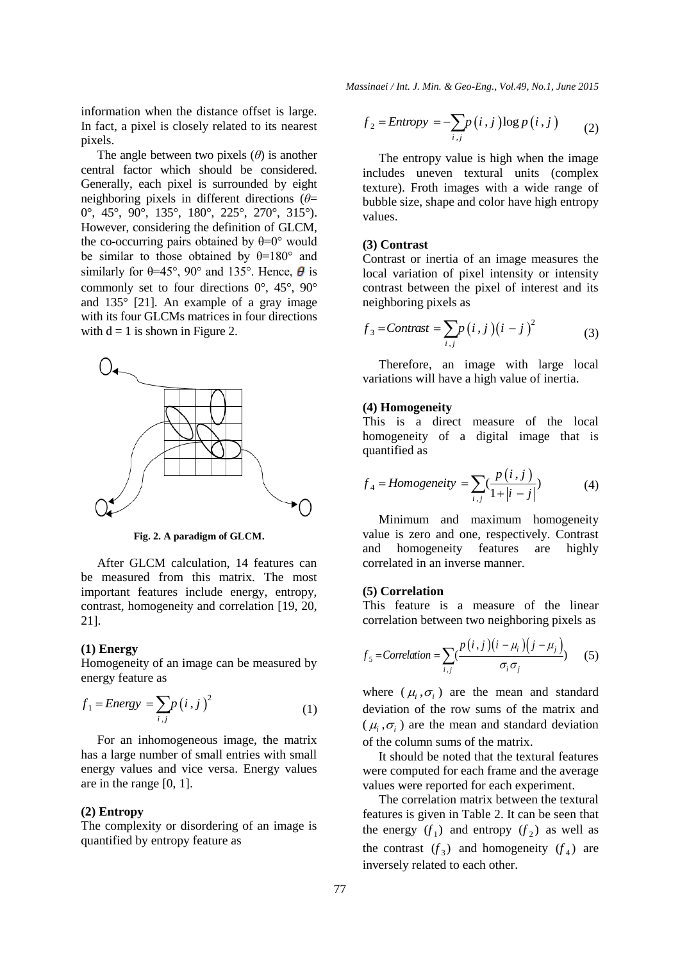information when the distance offset is large. In fact, a pixel is closely related to its nearest pixels.

The angle between two pixels  $(\theta)$  is another central factor which should be considered. Generally, each pixel is surrounded by eight neighboring pixels in different directions (*θ*= 0°, 45°, 90°, 135°, 180°, 225°, 270°, 315°). However, considering the definition of GLCM, the co-occurring pairs obtained by  $\theta = 0^{\circ}$  would be similar to those obtained by  $\theta = 180^\circ$  and similarly for  $\theta$ =45°, 90° and 135°. Hence,  $\theta$  is commonly set to four directions 0°, 45°, 90° and 135° [21]. An example of a gray image with its four GLCMs matrices in four directions with  $d = 1$  is shown in Figure 2.



**Fig. 2. A paradigm of GLCM.**

After GLCM calculation, 14 features can be measured from this matrix. The most important features include energy, entropy, contrast, homogeneity and correlation [19, 20, 21].

### **(1) Energy**

Homogeneity of an image can be measured by energy feature as

$$
f_1 = Energy = \sum_{i,j} p(i,j)^2
$$
 (1)

For an inhomogeneous image, the matrix has a large number of small entries with small energy values and vice versa. Energy values are in the range [0, 1].

#### **(2) Entropy**

The complexity or disordering of an image is quantified by entropy feature as

*Massinaei / Int. J. Min. & Geo-Eng., Vol.49, No.1, June 2015*

$$
f_2 = Entropy = -\sum_{i,j} p(i,j) \log p(i,j) \qquad (2)
$$

The entropy value is high when the image includes uneven textural units (complex texture). Froth images with a wide range of bubble size, shape and color have high entropy values.

# **(3) Contrast**

Contrast or inertia of an image measures the local variation of pixel intensity or intensity contrast between the pixel of interest and its neighboring pixels as

$$
f_3 = \text{Contrast} = \sum_{i,j} p(i,j) (i-j)^2
$$
 (3)

Therefore, an image with large local variations will have a high value of inertia.

### **(4) Homogeneity**

This is a direct measure of the local homogeneity of a digital image that is quantified as

$$
f_4 = Homogeneity = \sum_{i,j} \left( \frac{p(i,j)}{1+|i-j|} \right)
$$
 (4)

Minimum and maximum homogeneity value is zero and one, respectively. Contrast and homogeneity features are highly correlated in an inverse manner.

# **(5) Correlation**

This feature is a measure of the linear correlation between two neighboring pixels as

$$
f_5 = \text{Correlation} = \sum_{i,j} \frac{p(i,j)(i - \mu_i)(j - \mu_j)}{\sigma_i \sigma_j} \tag{5}
$$

where  $(\mu_i, \sigma_i)$  are the mean and standard deviation of the row sums of the matrix and  $(\mu_i, \sigma_i)$  are the mean and standard deviation of the column sums of the matrix.

It should be noted that the textural features were computed for each frame and the average values were reported for each experiment.

The correlation matrix between the textural features is given in Table 2. It can be seen that the energy  $(f_1)$  and entropy  $(f_2)$  as well as the contrast  $(f_3)$  and homogeneity  $(f_4)$  are inversely related to each other.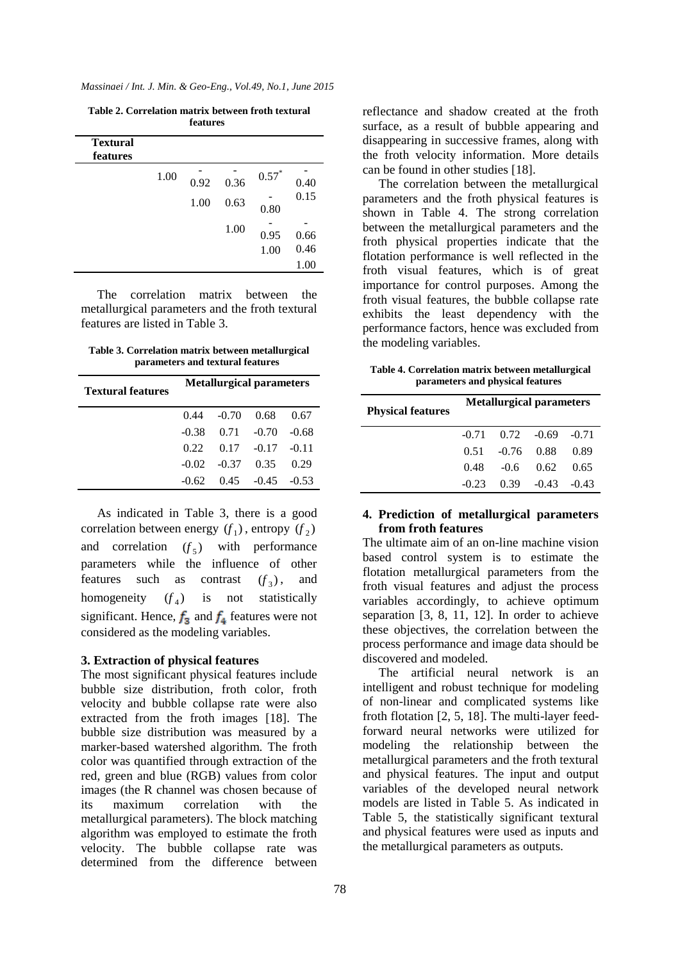*Massinaei / Int. J. Min. & Geo-Eng., Vol.49, No.1, June 2015*

**Table 2. Correlation matrix between froth textural features**

| <b>Textural</b><br>features |      |      |      |         |      |
|-----------------------------|------|------|------|---------|------|
|                             | 1.00 | 0.92 | 0.36 | $0.57*$ | 0.40 |
|                             |      | 1.00 | 0.63 | 0.80    | 0.15 |
|                             |      |      | 1.00 | 0.95    | 0.66 |
|                             |      |      |      | 1.00    | 0.46 |
|                             |      |      |      |         | 1.00 |

The correlation matrix between the metallurgical parameters and the froth textural features are listed in Table 3.

**Table 3. Correlation matrix between metallurgical parameters and textural features**

| <b>Textural features</b> | <b>Metallurgical parameters</b> |                        |                                |       |  |  |  |
|--------------------------|---------------------------------|------------------------|--------------------------------|-------|--|--|--|
|                          |                                 | $0.44 - 0.70 0.68$     |                                | 0.67  |  |  |  |
|                          |                                 | $-0.38$ $0.71$ $-0.70$ |                                | -0.68 |  |  |  |
|                          |                                 |                        | $0.22$ $0.17$ $-0.17$ $-0.11$  |       |  |  |  |
|                          |                                 | $-0.02 -0.37 -0.35$    |                                | 0.29  |  |  |  |
|                          |                                 |                        | $-0.62$ $0.45$ $-0.45$ $-0.53$ |       |  |  |  |

As indicated in Table 3, there is a good correlation between energy  $(f_1)$ , entropy  $(f_2)$ and correlation  $(f_5)$  with performance parameters while the influence of other features such as contrast  $(f_3)$ , and homogeneity  $(f_4)$ is not statistically significant. Hence,  $f_3$  and  $f_4$  features were not considered as the modeling variables.

# **3. Extraction of physical features**

The most significant physical features include bubble size distribution, froth color, froth velocity and bubble collapse rate were also extracted from the froth images [18]. The bubble size distribution was measured by a marker-based watershed algorithm. The froth color was quantified through extraction of the red, green and blue (RGB) values from color images (the R channel was chosen because of its maximum correlation with the metallurgical parameters). The block matching algorithm was employed to estimate the froth velocity. The bubble collapse rate was determined from the difference between

reflectance and shadow created at the froth surface, as a result of bubble appearing and disappearing in successive frames, along with the froth velocity information. More details can be found in other studies [18].

The correlation between the metallurgical parameters and the froth physical features is shown in Table 4. The strong correlation between the metallurgical parameters and the froth physical properties indicate that the flotation performance is well reflected in the froth visual features, which is of great importance for control purposes. Among the froth visual features, the bubble collapse rate exhibits the least dependency with the performance factors, hence was excluded from the modeling variables.

**Table 4. Correlation matrix between metallurgical parameters and physical features** 

| <b>Physical features</b> | <b>Metallurgical parameters</b> |                    |                                |      |  |  |  |
|--------------------------|---------------------------------|--------------------|--------------------------------|------|--|--|--|
|                          |                                 |                    | $-0.71$ $0.72$ $-0.69$ $-0.71$ |      |  |  |  |
|                          |                                 | $0.51 - 0.76 0.88$ |                                | 0.89 |  |  |  |
|                          | 0.48                            | $-0.6$ 0.62        |                                | 0.65 |  |  |  |
|                          | $-0.23$                         |                    | $0.39 - 0.43 - 0.43$           |      |  |  |  |

# **4. Prediction of metallurgical parameters from froth features**

The ultimate aim of an on-line machine vision based control system is to estimate the flotation metallurgical parameters from the froth visual features and adjust the process variables accordingly, to achieve optimum separation [3, 8, 11, 12]. In order to achieve these objectives, the correlation between the process performance and image data should be discovered and modeled.

The artificial neural network is an intelligent and robust technique for modeling of non-linear and complicated systems like froth flotation [2, 5, 18]. The multi-layer feedforward neural networks were utilized for modeling the relationship between the metallurgical parameters and the froth textural and physical features. The input and output variables of the developed neural network models are listed in Table 5. As indicated in Table 5, the statistically significant textural and physical features were used as inputs and the metallurgical parameters as outputs.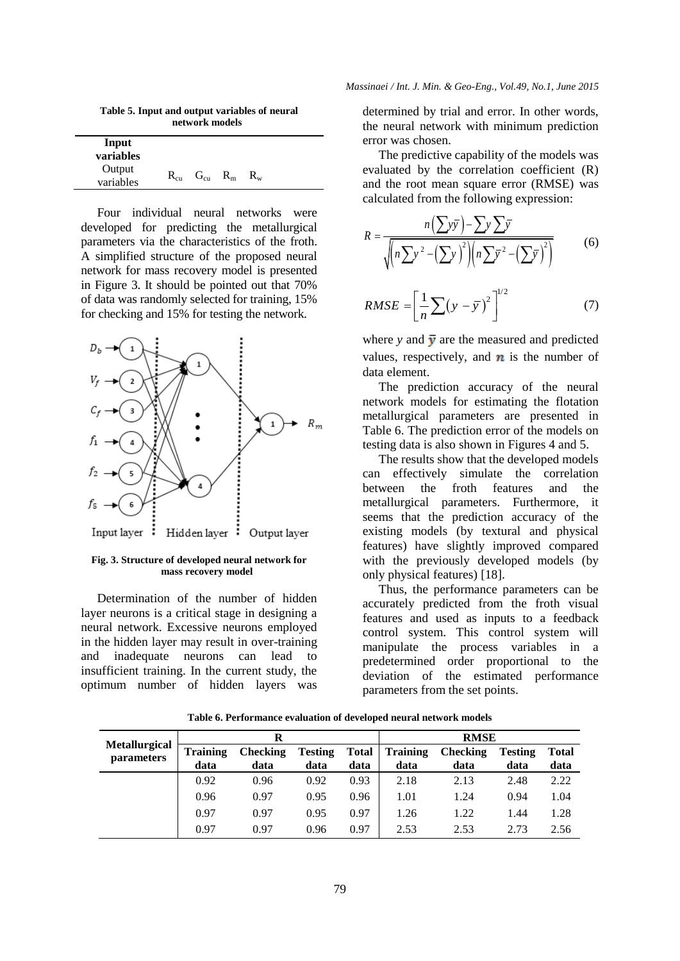**Table 5. Input and output variables of neural network models**

| Input<br>variables  |          |          |         |         |  |
|---------------------|----------|----------|---------|---------|--|
| Output<br>variables | $R_{cu}$ | $G_{cu}$ | $R_{m}$ | $R_{w}$ |  |

Four individual neural networks were developed for predicting the metallurgical parameters via the characteristics of the froth. A simplified structure of the proposed neural network for mass recovery model is presented in Figure 3. It should be pointed out that 70% of data was randomly selected for training, 15% for checking and 15% for testing the network.



**Fig. 3. Structure of developed neural network for mass recovery model**

Determination of the number of hidden layer neurons is a critical stage in designing a neural network. Excessive neurons employed in the hidden layer may result in over-training and inadequate neurons can lead to insufficient training. In the current study, the optimum number of hidden layers was determined by trial and error. In other words, the neural network with minimum prediction error was chosen.

The predictive capability of the models was evaluated by the correlation coefficient (R) and the root mean square error (RMSE) was

calculated from the following expression:  
\n
$$
R = \frac{n(\sum y\overline{y}) - \sum y \sum \overline{y}}{\sqrt{(n\sum y^{2} - (\sum y)^{2})(n\sum \overline{y})^{2} - (\sum \overline{y})^{2})}}
$$
\n(6)

$$
RMSE = \left[\frac{1}{n}\sum(y-\bar{y})^2\right]^{1/2} \tag{7}
$$

where *y* and  $\bar{y}$  are the measured and predicted values, respectively, and  $\boldsymbol{n}$  is the number of data element.

The prediction accuracy of the neural network models for estimating the flotation metallurgical parameters are presented in Table 6. The prediction error of the models on testing data is also shown in Figures 4 and 5.

The results show that the developed models can effectively simulate the correlation between the froth features and the metallurgical parameters. Furthermore, it seems that the prediction accuracy of the existing models (by textural and physical features) have slightly improved compared with the previously developed models (by only physical features) [18].

Thus, the performance parameters can be accurately predicted from the froth visual features and used as inputs to a feedback control system. This control system will manipulate the process variables in a predetermined order proportional to the deviation of the estimated performance parameters from the set points.

|                                           | R                       |                         |                        |                      | <b>RMSE</b>             |                         |                        |                      |
|-------------------------------------------|-------------------------|-------------------------|------------------------|----------------------|-------------------------|-------------------------|------------------------|----------------------|
| <b>Metallurgical</b><br><i>parameters</i> | <b>Training</b><br>data | <b>Checking</b><br>data | <b>Testing</b><br>data | <b>Total</b><br>data | <b>Training</b><br>data | <b>Checking</b><br>data | <b>Testing</b><br>data | <b>Total</b><br>data |
|                                           | 0.92                    | 0.96                    | 0.92                   | 0.93                 | 2.18                    | 2.13                    | 2.48                   | 2.22                 |
|                                           | 0.96                    | 0.97                    | 0.95                   | 0.96                 | 1.01                    | 1.24                    | 0.94                   | 1.04                 |
|                                           | 0.97                    | 0.97                    | 0.95                   | 0.97                 | 1.26                    | 1.22                    | 1.44                   | 1.28                 |
|                                           | 0.97                    | 0.97                    | 0.96                   | 0.97                 | 2.53                    | 2.53                    | 2.73                   | 2.56                 |

**Table 6. Performance evaluation of developed neural network models**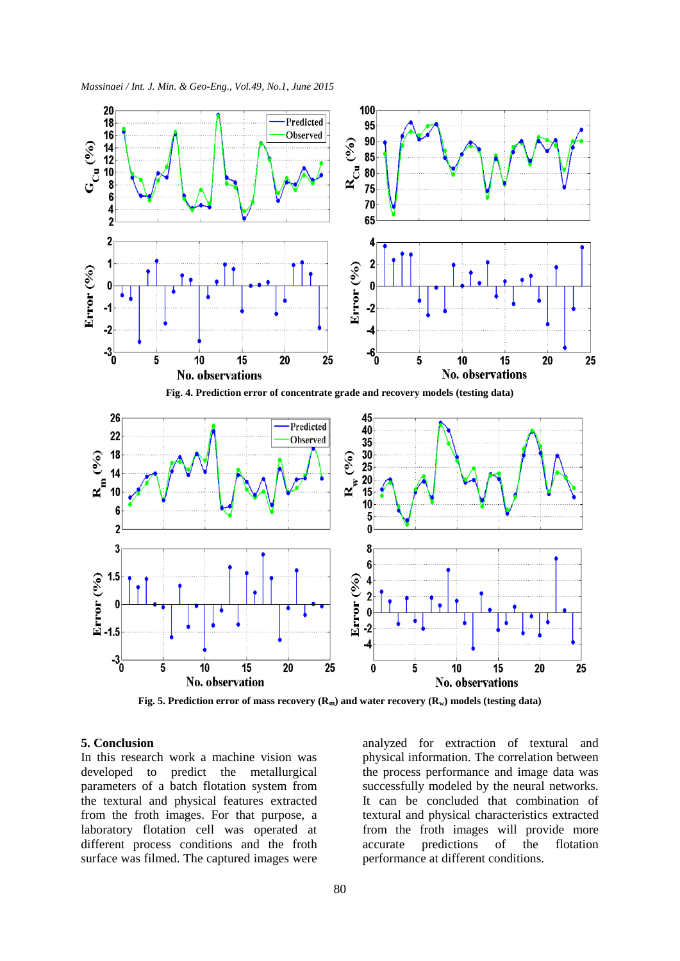*Massinaei / Int. J. Min. & Geo-Eng., Vol.49, No.1, June 2015*



**Fig. 5. Prediction error of mass recovery (Rm) and water recovery (Rw) models (testing data)**

# **5. Conclusion**

In this research work a machine vision was developed to predict the metallurgical parameters of a batch flotation system from the textural and physical features extracted from the froth images. For that purpose, a laboratory flotation cell was operated at different process conditions and the froth surface was filmed. The captured images were

analyzed for extraction of textural and physical information. The correlation between the process performance and image data was successfully modeled by the neural networks. It can be concluded that combination of textural and physical characteristics extracted from the froth images will provide more accurate predictions of the flotation performance at different conditions.